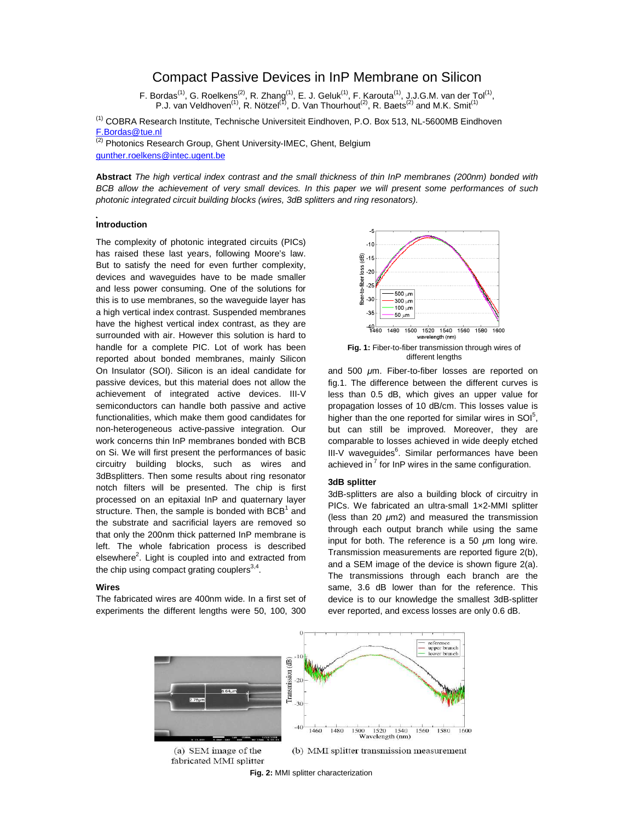# Compact Passive Devices in InP Membrane on Silicon

F. Bordas<sup>(1)</sup>, G. Roelkens<sup>(2)</sup>, R. Zhang<sup>(1)</sup>, E. J. Geluk<sup>(1)</sup>, F. Karouta<sup>(1)</sup>, J.J.G.M. van der Tol<sup>(1)</sup>, P.J. van Veldhoven<sup>(1)</sup>, R. Nötzel<sup>(1)</sup>, D. Van Thourhout<sup>(2)</sup>, R. Baets<sup>(2)</sup> and M.K. Smit<sup>(1)</sup>

<sup>(1)</sup> COBRA Research Institute, Technische Universiteit Eindhoven, P.O. Box 513, NL-5600MB Eindhoven F.Bordas@tue.nl

 $\overline{^{(2)}}$  Photonics Research Group, Ghent University-IMEC, Ghent, Belgium gunther.roelkens@intec.ugent.be

**Abstract** The high vertical index contrast and the small thickness of thin InP membranes (200nm) bonded with BCB allow the achievement of very small devices. In this paper we will present some performances of such photonic integrated circuit building blocks (wires, 3dB splitters and ring resonators).

## **Introduction**

The complexity of photonic integrated circuits (PICs) has raised these last years, following Moore's law. But to satisfy the need for even further complexity, devices and waveguides have to be made smaller and less power consuming. One of the solutions for this is to use membranes, so the waveguide layer has a high vertical index contrast. Suspended membranes have the highest vertical index contrast, as they are surrounded with air. However this solution is hard to handle for a complete PIC. Lot of work has been reported about bonded membranes, mainly Silicon On Insulator (SOI). Silicon is an ideal candidate for passive devices, but this material does not allow the achievement of integrated active devices. III-V semiconductors can handle both passive and active functionalities, which make them good candidates for non-heterogeneous active-passive integration. Our work concerns thin InP membranes bonded with BCB on Si. We will first present the performances of basic circuitry building blocks, such as wires and 3dBsplitters. Then some results about ring resonator notch filters will be presented. The chip is first processed on an epitaxial InP and quaternary layer structure. Then, the sample is bonded with BCB<sup>1</sup> and the substrate and sacrificial layers are removed so that only the 200nm thick patterned InP membrane is left. The whole fabrication process is described elsewhere<sup>2</sup>. Light is coupled into and extracted from the chip using compact grating couplers<sup>3,4</sup>.

## **Wires**

The fabricated wires are 400nm wide. In a first set of experiments the different lengths were 50, 100, 300



and 500  $\mu$ m. Fiber-to-fiber losses are reported on fig.1. The difference between the different curves is less than 0.5 dB, which gives an upper value for propagation losses of 10 dB/cm. This losses value is higher than the one reported for similar wires in SOI $<sup>5</sup>$ ,</sup> but can still be improved. Moreover, they are comparable to losses achieved in wide deeply etched III-V waveguides<sup>6</sup>. Similar performances have been achieved in<sup>7</sup> for InP wires in the same configuration.

## **3dB splitter**

3dB-splitters are also a building block of circuitry in PICs. We fabricated an ultra-small 1×2-MMI splitter (less than 20  $\mu$ m2) and measured the transmission through each output branch while using the same input for both. The reference is a 50  $\mu$ m long wire. Transmission measurements are reported figure 2(b), and a SEM image of the device is shown figure 2(a). The transmissions through each branch are the same, 3.6 dB lower than for the reference. This device is to our knowledge the smallest 3dB-splitter ever reported, and excess losses are only 0.6 dB.



**Fig. 2:** MMI splitter characterization